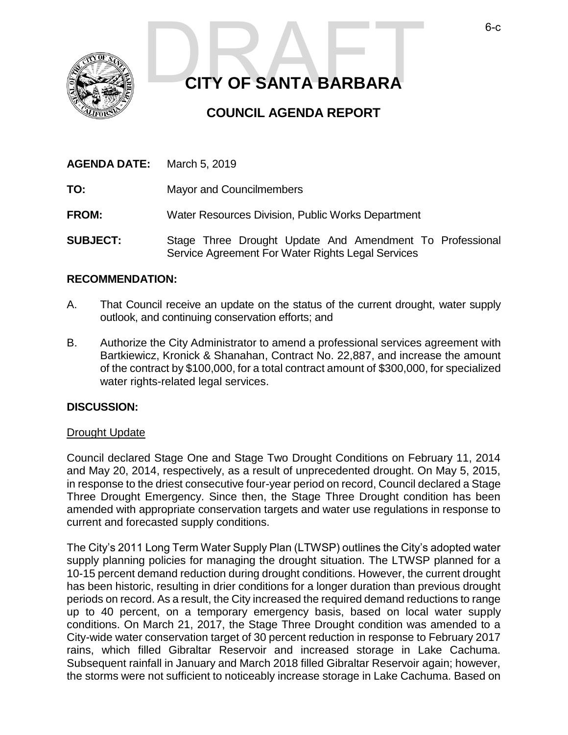

# **CITY OF SANTA BARBARA CITY OF SANTA BARBARA**

# **COUNCIL AGENDA REPORT**

| <b>AGENDA DATE:</b> | March 5, 2019                                                                                                 |
|---------------------|---------------------------------------------------------------------------------------------------------------|
| TO:                 | Mayor and Councilmembers                                                                                      |
| <b>FROM:</b>        | Water Resources Division, Public Works Department                                                             |
| <b>SUBJECT:</b>     | Stage Three Drought Update And Amendment To Professional<br>Service Agreement For Water Rights Legal Services |

#### **RECOMMENDATION:**

- A. That Council receive an update on the status of the current drought, water supply outlook, and continuing conservation efforts; and
- B. Authorize the City Administrator to amend a professional services agreement with Bartkiewicz, Kronick & Shanahan, Contract No. 22,887, and increase the amount of the contract by \$100,000, for a total contract amount of \$300,000, for specialized water rights-related legal services.

#### **DISCUSSION:**

#### Drought Update

Council declared Stage One and Stage Two Drought Conditions on February 11, 2014 and May 20, 2014, respectively, as a result of unprecedented drought. On May 5, 2015, in response to the driest consecutive four-year period on record, Council declared a Stage Three Drought Emergency. Since then, the Stage Three Drought condition has been amended with appropriate conservation targets and water use regulations in response to current and forecasted supply conditions.

The City's 2011 Long Term Water Supply Plan (LTWSP) outlines the City's adopted water supply planning policies for managing the drought situation. The LTWSP planned for a 10-15 percent demand reduction during drought conditions. However, the current drought has been historic, resulting in drier conditions for a longer duration than previous drought periods on record. As a result, the City increased the required demand reductions to range up to 40 percent, on a temporary emergency basis, based on local water supply conditions. On March 21, 2017, the Stage Three Drought condition was amended to a City-wide water conservation target of 30 percent reduction in response to February 2017 rains, which filled Gibraltar Reservoir and increased storage in Lake Cachuma. Subsequent rainfall in January and March 2018 filled Gibraltar Reservoir again; however, the storms were not sufficient to noticeably increase storage in Lake Cachuma. Based on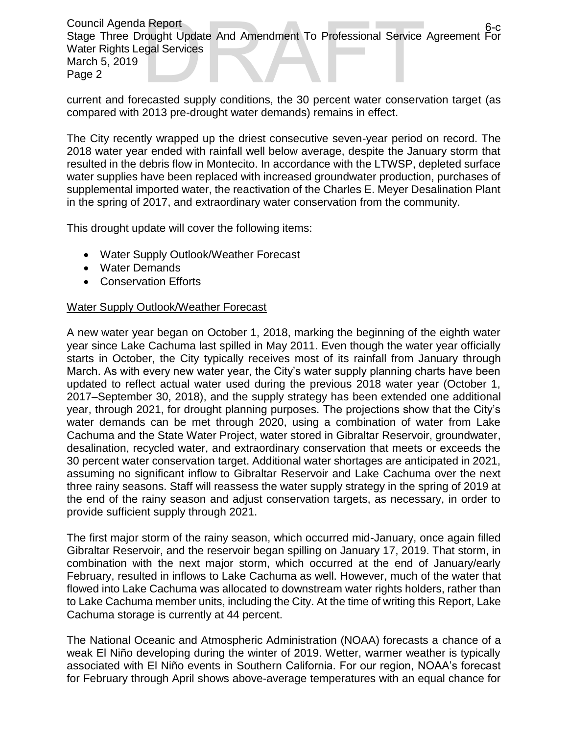Council Agenda Report Stage Three Drought Update And Amendment To Professional Service Agreement For Water Rights Legal Services March 5, 2019 Page 2 a Report<br>
rought Update And Amendment To Professional Service Agreement For<br>
ecasted supply conditions, the 30 percent water conservation target (as

current and forecasted supply conditions, the 30 percent water conservation target (as compared with 2013 pre-drought water demands) remains in effect.

The City recently wrapped up the driest consecutive seven-year period on record. The 2018 water year ended with rainfall well below average, despite the January storm that resulted in the debris flow in Montecito. In accordance with the LTWSP, depleted surface water supplies have been replaced with increased groundwater production, purchases of supplemental imported water, the reactivation of the Charles E. Meyer Desalination Plant in the spring of 2017, and extraordinary water conservation from the community.

This drought update will cover the following items:

- Water Supply Outlook/Weather Forecast
- Water Demands
- Conservation Efforts

#### Water Supply Outlook/Weather Forecast

A new water year began on October 1, 2018, marking the beginning of the eighth water year since Lake Cachuma last spilled in May 2011. Even though the water year officially starts in October, the City typically receives most of its rainfall from January through March. As with every new water year, the City's water supply planning charts have been updated to reflect actual water used during the previous 2018 water year (October 1, 2017–September 30, 2018), and the supply strategy has been extended one additional year, through 2021, for drought planning purposes. The projections show that the City's water demands can be met through 2020, using a combination of water from Lake Cachuma and the State Water Project, water stored in Gibraltar Reservoir, groundwater, desalination, recycled water, and extraordinary conservation that meets or exceeds the 30 percent water conservation target. Additional water shortages are anticipated in 2021, assuming no significant inflow to Gibraltar Reservoir and Lake Cachuma over the next three rainy seasons. Staff will reassess the water supply strategy in the spring of 2019 at the end of the rainy season and adjust conservation targets, as necessary, in order to provide sufficient supply through 2021.

The first major storm of the rainy season, which occurred mid-January, once again filled Gibraltar Reservoir, and the reservoir began spilling on January 17, 2019. That storm, in combination with the next major storm, which occurred at the end of January/early February, resulted in inflows to Lake Cachuma as well. However, much of the water that flowed into Lake Cachuma was allocated to downstream water rights holders, rather than to Lake Cachuma member units, including the City. At the time of writing this Report, Lake Cachuma storage is currently at 44 percent.

The National Oceanic and Atmospheric Administration (NOAA) forecasts a chance of a weak El Niño developing during the winter of 2019. Wetter, warmer weather is typically associated with El Niño events in Southern California. For our region, NOAA's forecast for February through April shows above-average temperatures with an equal chance for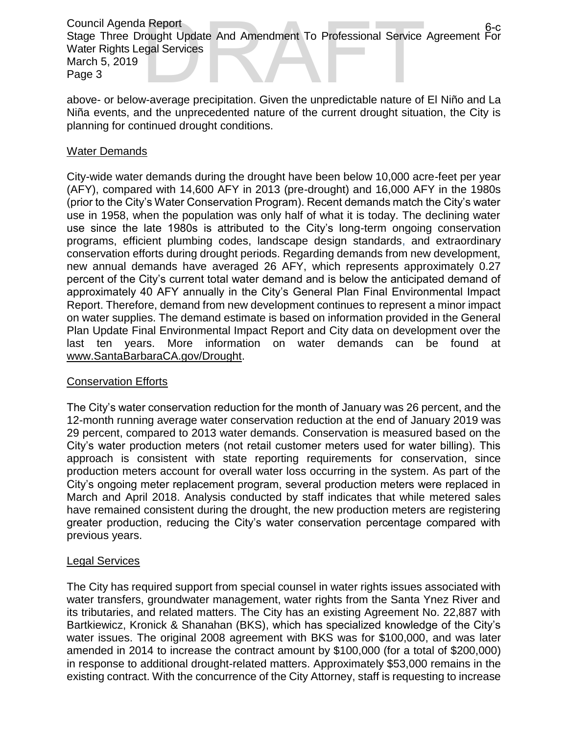Council Agenda Report Stage Three Drought Update And Amendment To Professional Service Agreement For Water Rights Legal Services March 5, 2019 Page 3 a Report<br>
rought Update And Amendment To Professional Service Agreement For<br>
egal Services<br>
v-average precipitation. Given the unpredictable nature of FI Niño and La

above- or below-average precipitation. Given the unpredictable nature of El Niño and La Niña events, and the unprecedented nature of the current drought situation, the City is planning for continued drought conditions.

### Water Demands

City-wide water demands during the drought have been below 10,000 acre-feet per year (AFY), compared with 14,600 AFY in 2013 (pre-drought) and 16,000 AFY in the 1980s (prior to the City's Water Conservation Program). Recent demands match the City's water use in 1958, when the population was only half of what it is today. The declining water use since the late 1980s is attributed to the City's long-term ongoing conservation programs, efficient plumbing codes, landscape design standards, and extraordinary conservation efforts during drought periods. Regarding demands from new development, new annual demands have averaged 26 AFY, which represents approximately 0.27 percent of the City's current total water demand and is below the anticipated demand of approximately 40 AFY annually in the City's General Plan Final Environmental Impact Report. Therefore, demand from new development continues to represent a minor impact on water supplies. The demand estimate is based on information provided in the General Plan Update Final Environmental Impact Report and City data on development over the last ten years. More information on water demands can be found at [www.SantaBarbaraCA.gov/Drought.](http://www.santabarbaraca.gov/Drought)

## Conservation Efforts

The City's water conservation reduction for the month of January was 26 percent, and the 12-month running average water conservation reduction at the end of January 2019 was 29 percent, compared to 2013 water demands. Conservation is measured based on the City's water production meters (not retail customer meters used for water billing). This approach is consistent with state reporting requirements for conservation, since production meters account for overall water loss occurring in the system. As part of the City's ongoing meter replacement program, several production meters were replaced in March and April 2018. Analysis conducted by staff indicates that while metered sales have remained consistent during the drought, the new production meters are registering greater production, reducing the City's water conservation percentage compared with previous years.

#### Legal Services

The City has required support from special counsel in water rights issues associated with water transfers, groundwater management, water rights from the Santa Ynez River and its tributaries, and related matters. The City has an existing Agreement No. 22,887 with Bartkiewicz, Kronick & Shanahan (BKS), which has specialized knowledge of the City's water issues. The original 2008 agreement with BKS was for \$100,000, and was later amended in 2014 to increase the contract amount by \$100,000 (for a total of \$200,000) in response to additional drought-related matters. Approximately \$53,000 remains in the existing contract. With the concurrence of the City Attorney, staff is requesting to increase